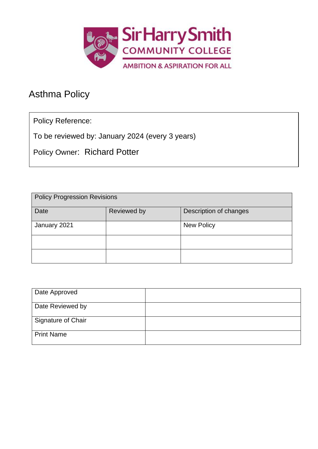

# Asthma Policy

Policy Reference:

To be reviewed by: January 2024 (every 3 years)

Policy Owner: Richard Potter

| <b>Policy Progression Revisions</b> |             |                        |  |
|-------------------------------------|-------------|------------------------|--|
| Date                                | Reviewed by | Description of changes |  |
| January 2021                        |             | <b>New Policy</b>      |  |
|                                     |             |                        |  |
|                                     |             |                        |  |

| Date Approved             |  |
|---------------------------|--|
| Date Reviewed by          |  |
| <b>Signature of Chair</b> |  |
| <b>Print Name</b>         |  |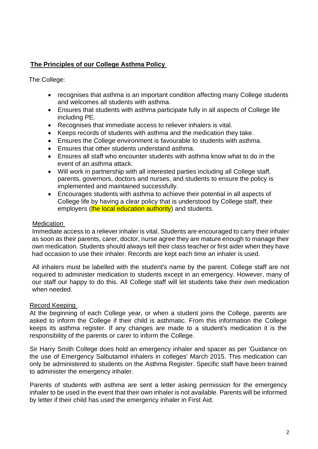# **The Principles of our College Asthma Policy**

The College:

- recognises that asthma is an important condition affecting many College students and welcomes all students with asthma.
- Ensures that students with asthma participate fully in all aspects of College life including PE.
- Recognises that immediate access to reliever inhalers is vital.
- Keeps records of students with asthma and the medication they take.
- Ensures the College environment is favourable to students with asthma.
- Ensures that other students understand asthma.
- Ensures all staff who encounter students with asthma know what to do in the event of an asthma attack.
- Will work in partnership with all interested parties including all College staff, parents, governors, doctors and nurses, and students to ensure the policy is implemented and maintained successfully.
- Encourages students with asthma to achieve their potential in all aspects of College life by having a clear policy that is understood by College staff, their employers (the local education authority) and students.

# Medication

Immediate access to a reliever inhaler is vital. Students are encouraged to carry their inhaler as soon as their parents, carer, doctor, nurse agree they are mature enough to manage their own medication. Students should always tell their class teacher or first aider when they have had occasion to use their inhaler. Records are kept each time an inhaler is used.

All inhalers must be labelled with the student's name by the parent. College staff are not required to administer medication to students except in an emergency. However, many of our staff our happy to do this. All College staff will let students take their own medication when needed.

### Record Keeping

At the beginning of each College year, or when a student joins the College, parents are asked to inform the College if their child is asthmatic. From this information the College keeps its asthma register. If any changes are made to a student's medication it is the responsibility of the parents or carer to inform the College.

Sir Harry Smith College does hold an emergency inhaler and spacer as per 'Guidance on the use of Emergency Salbutamol inhalers in colleges' March 2015. This medication can only be administered to students on the Asthma Register. Specific staff have been trained to administer the emergency inhaler.

Parents of students with asthma are sent a letter asking permission for the emergency inhaler to be used in the event that their own inhaler is not available. Parents will be informed by letter if their child has used the emergency inhaler in First Aid.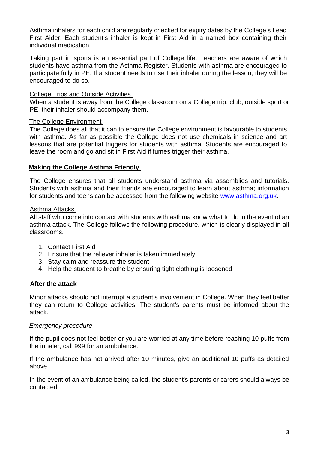Asthma inhalers for each child are regularly checked for expiry dates by the College's Lead First Aider. Each student's inhaler is kept in First Aid in a named box containing their individual medication.

Taking part in sports is an essential part of College life. Teachers are aware of which students have asthma from the Asthma Register. Students with asthma are encouraged to participate fully in PE. If a student needs to use their inhaler during the lesson, they will be encouraged to do so.

## College Trips and Outside Activities

When a student is away from the College classroom on a College trip, club, outside sport or PE, their inhaler should accompany them.

# The College Environment

The College does all that it can to ensure the College environment is favourable to students with asthma. As far as possible the College does not use chemicals in science and art lessons that are potential triggers for students with asthma. Students are encouraged to leave the room and go and sit in First Aid if fumes trigger their asthma.

# **Making the College Asthma Friendly**

The College ensures that all students understand asthma via assemblies and tutorials. Students with asthma and their friends are encouraged to learn about asthma; information for students and teens can be accessed from the following website [www.asthma.org.uk.](http://www.asthma.org.uk/)

#### Asthma Attacks

All staff who come into contact with students with asthma know what to do in the event of an asthma attack. The College follows the following procedure, which is clearly displayed in all classrooms.

- 1. Contact First Aid
- 2. Ensure that the reliever inhaler is taken immediately
- 3. Stay calm and reassure the student
- 4. Help the student to breathe by ensuring tight clothing is loosened

### **After the attack**

Minor attacks should not interrupt a student's involvement in College. When they feel better they can return to College activities. The student's parents must be informed about the attack.

### *Emergency procedure*

If the pupil does not feel better or you are worried at any time before reaching 10 puffs from the inhaler, call 999 for an ambulance.

If the ambulance has not arrived after 10 minutes, give an additional 10 puffs as detailed above.

In the event of an ambulance being called, the student's parents or carers should always be contacted.